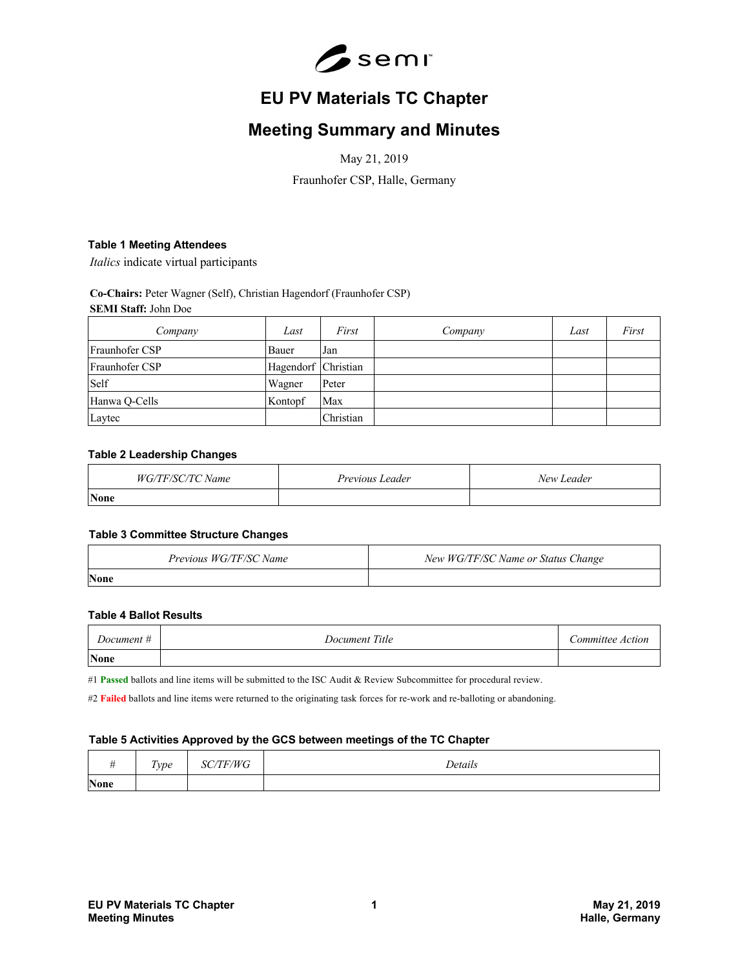

# **EU PV Materials TC Chapter**

## **Meeting Summary and Minutes**

May 21, 2019

Fraunhofer CSP, Halle, Germany

## **Table 1 Meeting Attendees**

*Italics* indicate virtual participants

#### **Co-Chairs:** Peter Wagner (Self), Christian Hagendorf (Fraunhofer CSP) **SEMI Staff:** John Doe

| Company        | Last                | First     | Company | Last | First |
|----------------|---------------------|-----------|---------|------|-------|
| Fraunhofer CSP | Bauer               | Jan       |         |      |       |
| Fraunhofer CSP | Hagendorf Christian |           |         |      |       |
| Self           | Wagner              | Peter     |         |      |       |
| Hanwa Q-Cells  | Kontopf             | Max       |         |      |       |
| Laytec         |                     | Christian |         |      |       |

#### **Table 2 Leadership Changes**

| Name<br>н. | Previous Leader | New Leader |
|------------|-----------------|------------|
| None       |                 |            |

#### **Table 3 Committee Structure Changes**

| Previous WG/TF/SC Name | New WG/TF/SC Name or Status Change |
|------------------------|------------------------------------|
| <b>None</b>            |                                    |

#### **Table 4 Ballot Results**

| Document #  | Document Title | Committee Action |
|-------------|----------------|------------------|
| <b>None</b> |                |                  |

#1 **Passed** ballots and line items will be submitted to the ISC Audit & Review Subcommittee for procedural review.

#2 Failed ballots and line items were returned to the originating task forces for re-work and re-balloting or abandoning.

#### **Table 5 Activities Approved by the GCS between meetings of the TC Chapter**

|             | $\mathbf{r}$<br>lype | F/WG<br>-5C | Details |
|-------------|----------------------|-------------|---------|
| <b>None</b> |                      |             |         |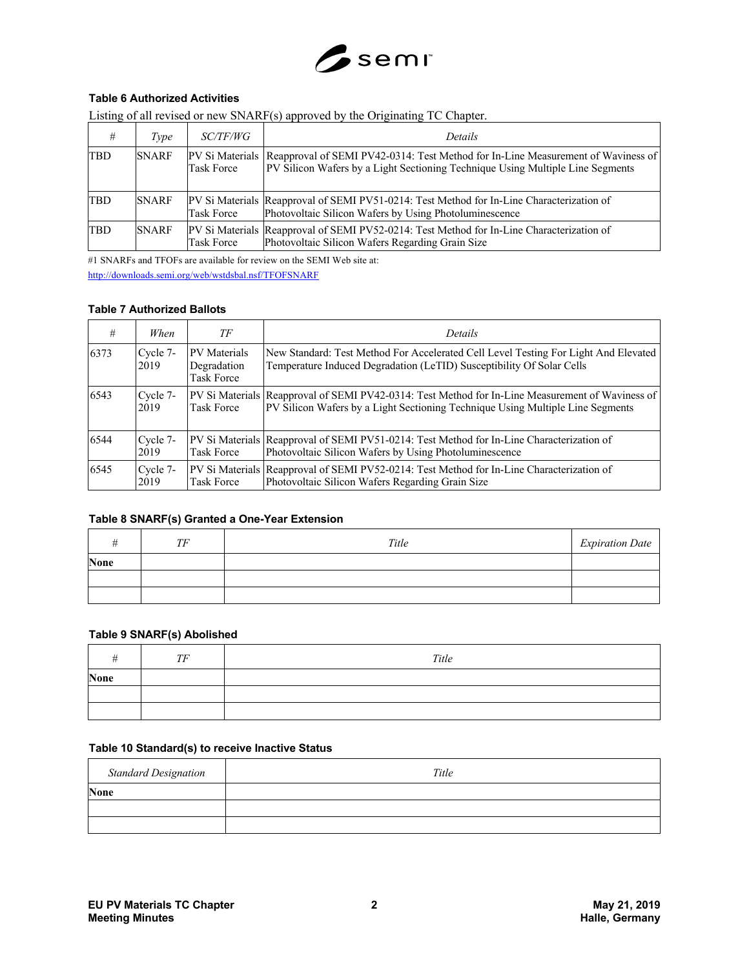

## **Table 6 Authorized Activities**

|  |  | Listing of all revised or new SNARF(s) approved by the Originating TC Chapter. |  |
|--|--|--------------------------------------------------------------------------------|--|
|  |  |                                                                                |  |

| #          | Type         | <i>SC/TF/WG</i>   | Details                                                                                                                                                                              |
|------------|--------------|-------------------|--------------------------------------------------------------------------------------------------------------------------------------------------------------------------------------|
| <b>TBD</b> | <b>SNARF</b> | <b>Task Force</b> | PV Si Materials   Reapproval of SEMI PV42-0314: Test Method for In-Line Measurement of Waviness of<br>PV Silicon Wafers by a Light Sectioning Technique Using Multiple Line Segments |
| <b>TBD</b> | <b>SNARF</b> | <b>Task Force</b> | PV Si Materials Reapproval of SEMI PV51-0214: Test Method for In-Line Characterization of<br>Photovoltaic Silicon Wafers by Using Photoluminescence                                  |
| <b>TBD</b> | <b>SNARF</b> | <b>Task Force</b> | PV Si Materials Reapproval of SEMI PV52-0214: Test Method for In-Line Characterization of<br>Photovoltaic Silicon Wafers Regarding Grain Size                                        |

#1 SNARFs and TFOFs are available for review on the SEMI Web site at: http://downloads.semi.org/web/wstdsbal.nsf/TFOFSNARF

## **Table 7 Authorized Ballots**

| #    | When             | TF                                               | Details                                                                                                                                                                            |
|------|------------------|--------------------------------------------------|------------------------------------------------------------------------------------------------------------------------------------------------------------------------------------|
| 6373 | Cycle 7-<br>2019 | <b>PV</b> Materials<br>Degradation<br>Task Force | New Standard: Test Method For Accelerated Cell Level Testing For Light And Elevated<br>Temperature Induced Degradation (LeTID) Susceptibility Of Solar Cells                       |
| 6543 | Cycle 7-<br>2019 | <b>Task Force</b>                                | PV Si Materials Reapproval of SEMI PV42-0314: Test Method for In-Line Measurement of Waviness of<br>PV Silicon Wafers by a Light Sectioning Technique Using Multiple Line Segments |
| 6544 | Cycle 7-<br>2019 | <b>Task Force</b>                                | PV Si Materials Reapproval of SEMI PV51-0214: Test Method for In-Line Characterization of<br>Photovoltaic Silicon Wafers by Using Photoluminescence                                |
| 6545 | Cycle 7-<br>2019 | <b>Task Force</b>                                | PV Si Materials Reapproval of SEMI PV52-0214: Test Method for In-Line Characterization of<br>Photovoltaic Silicon Wafers Regarding Grain Size                                      |

## **Table 8 SNARF(s) Granted a One-Year Extension**

|             | TF | Title | <b>Expiration Date</b> |
|-------------|----|-------|------------------------|
| <b>None</b> |    |       |                        |
|             |    |       |                        |
|             |    |       |                        |

## **Table 9 SNARF(s) Abolished**

|             | TF | Title |
|-------------|----|-------|
| <b>None</b> |    |       |
|             |    |       |
|             |    |       |

#### **Table 10 Standard(s) to receive Inactive Status**

| <b>Standard Designation</b> | Title |
|-----------------------------|-------|
| <b>None</b>                 |       |
|                             |       |
|                             |       |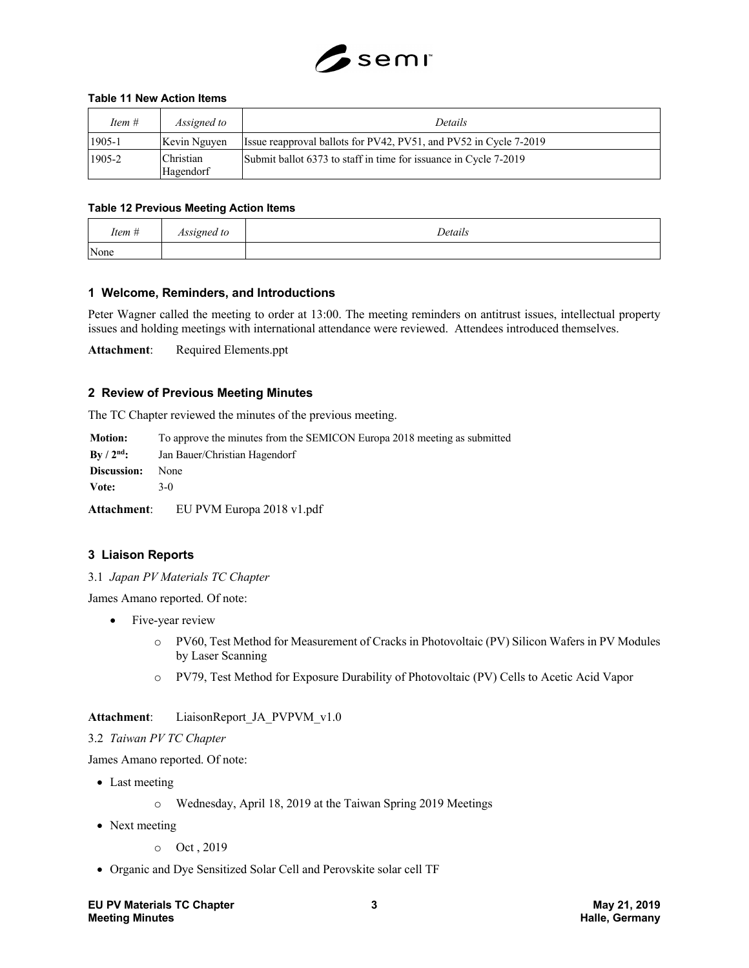

## **Table 11 New Action Items**

| Item #   | Assigned to            | Details                                                           |
|----------|------------------------|-------------------------------------------------------------------|
| $1905-1$ | Kevin Nguyen           | Issue reapproval ballots for PV42, PV51, and PV52 in Cycle 7-2019 |
| 1905-2   | Christian<br>Hagendorf | Submit ballot 6373 to staff in time for issuance in Cycle 7-2019  |

#### **Table 12 Previous Meeting Action Items**

| Item # | Assigned to | Details |
|--------|-------------|---------|
| None   |             |         |

## **1 Welcome, Reminders, and Introductions**

Peter Wagner called the meeting to order at 13:00. The meeting reminders on antitrust issues, intellectual property issues and holding meetings with international attendance were reviewed. Attendees introduced themselves.

**Attachment**: Required Elements.ppt

## **2 Review of Previous Meeting Minutes**

The TC Chapter reviewed the minutes of the previous meeting.

| <b>Motion:</b>           | To approve the minutes from the SEMICON Europa 2018 meeting as submitted |  |  |
|--------------------------|--------------------------------------------------------------------------|--|--|
| $\rm\,By\,/\,2^{nd}\rm:$ | Jan Bauer/Christian Hagendorf                                            |  |  |
| Discussion:              | None                                                                     |  |  |
| Vote:                    | 3-Q                                                                      |  |  |

**Attachment**: EU PVM Europa 2018 v1.pdf

## **3 Liaison Reports**

3.1 *Japan PV Materials TC Chapter*

James Amano reported. Of note:

- Five-year review
	- o PV60, Test Method for Measurement of Cracks in Photovoltaic (PV) Silicon Wafers in PV Modules by Laser Scanning
	- o PV79, Test Method for Exposure Durability of Photovoltaic (PV) Cells to Acetic Acid Vapor

## **Attachment**: LiaisonReport\_JA\_PVPVM\_v1.0

#### 3.2 *Taiwan PV TC Chapter*

James Amano reported. Of note:

- Last meeting
	- o Wednesday, April 18, 2019 at the Taiwan Spring 2019 Meetings
- Next meeting
	- o Oct , 2019
- Organic and Dye Sensitized Solar Cell and Perovskite solar cell TF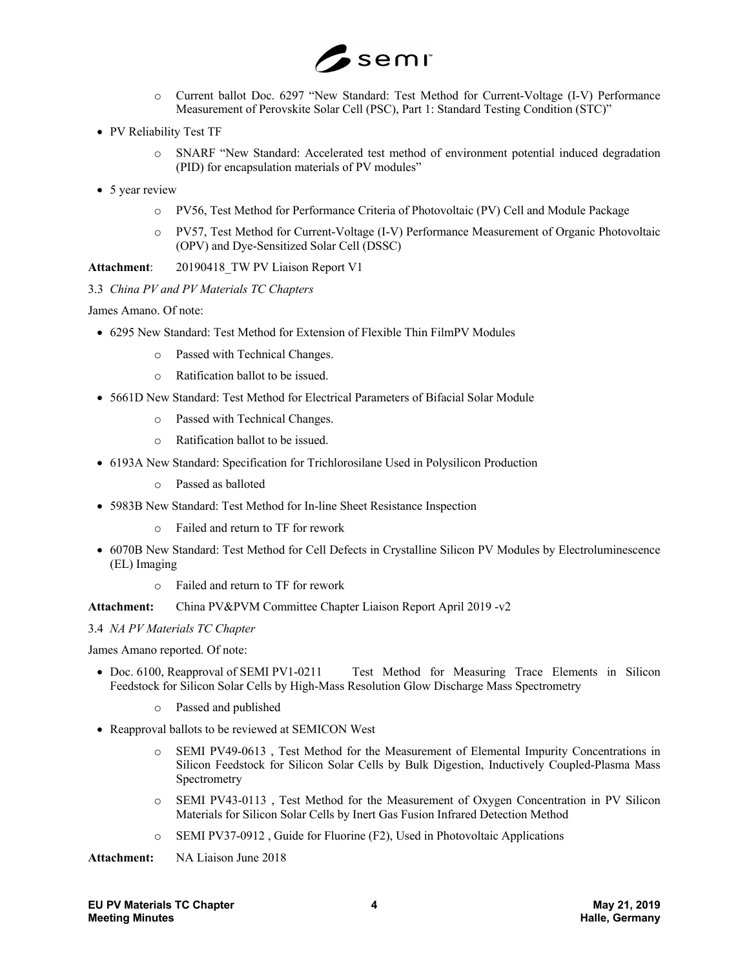

- o Current ballot Doc. 6297 "New Standard: Test Method for Current-Voltage (I-V) Performance Measurement of Perovskite Solar Cell (PSC), Part 1: Standard Testing Condition (STC)"
- PV Reliability Test TF
	- o SNARF "New Standard: Accelerated test method of environment potential induced degradation (PID) for encapsulation materials of PV modules"
- 5 year review
	- o PV56, Test Method for Performance Criteria of Photovoltaic (PV) Cell and Module Package
	- o PV57, Test Method for Current-Voltage (I-V) Performance Measurement of Organic Photovoltaic (OPV) and Dye-Sensitized Solar Cell (DSSC)

**Attachment**: 20190418\_TW PV Liaison Report V1

3.3 *China PV and PV Materials TC Chapters*

James Amano. Of note:

- 6295 New Standard: Test Method for Extension of Flexible Thin FilmPV Modules
	- o Passed with Technical Changes.
	- o Ratification ballot to be issued.
- 5661D New Standard: Test Method for Electrical Parameters of Bifacial Solar Module
	- o Passed with Technical Changes.
	- o Ratification ballot to be issued.
- 6193A New Standard: Specification for Trichlorosilane Used in Polysilicon Production
	- o Passed as balloted
- 5983B New Standard: Test Method for In-line Sheet Resistance Inspection
	- o Failed and return to TF for rework
- 6070B New Standard: Test Method for Cell Defects in Crystalline Silicon PV Modules by Electroluminescence (EL) Imaging
	- o Failed and return to TF for rework

**Attachment:** China PV&PVM Committee Chapter Liaison Report April 2019 -v2

3.4 *NA PV Materials TC Chapter*

James Amano reported. Of note:

- Doc. 6100, Reapproval of SEMI PV1-0211 Test Method for Measuring Trace Elements in Silicon Feedstock for Silicon Solar Cells by High-Mass Resolution Glow Discharge Mass Spectrometry
	- o Passed and published
- Reapproval ballots to be reviewed at SEMICON West
	- o SEMI PV49-0613 , Test Method for the Measurement of Elemental Impurity Concentrations in Silicon Feedstock for Silicon Solar Cells by Bulk Digestion, Inductively Coupled-Plasma Mass Spectrometry
	- o SEMI PV43-0113 , Test Method for the Measurement of Oxygen Concentration in PV Silicon Materials for Silicon Solar Cells by Inert Gas Fusion Infrared Detection Method
	- o SEMI PV37-0912 , Guide for Fluorine (F2), Used in Photovoltaic Applications

**Attachment:** NA Liaison June 2018